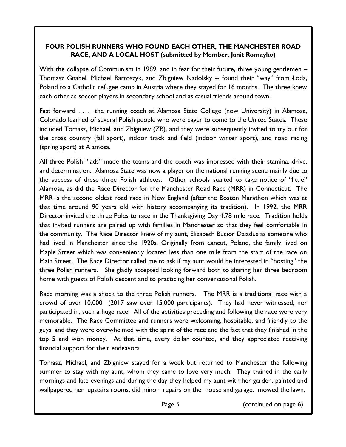## **FOUR POLISH RUNNERS WHO FOUND EACH OTHER, THE MANCHESTER ROAD RACE, AND A LOCAL HOST (submitted by Member, Janit Romayko)**

With the collapse of Communism in 1989, and in fear for their future, three young gentlemen – Thomasz Gnabel, Michael Bartoszyk, and Zbigniew Nadolsky -- found their "way" from Łodz, Poland to a Catholic refugee camp in Austria where they stayed for 16 months. The three knew each other as soccer players in secondary school and as casual friends around town.

Fast forward . . . the running coach at Alamosa State College (now University) in Alamosa, Colorado learned of several Polish people who were eager to come to the United States. These included Tomasz, Michael, and Zbigniew (ZB), and they were subsequently invited to try out for the cross country (fall sport), indoor track and field (indoor winter sport), and road racing (spring sport) at Alamosa.

All three Polish "lads" made the teams and the coach was impressed with their stamina, drive, and determination. Alamosa State was now a player on the national running scene mainly due to the success of these three Polish athletes. Other schools started to take notice of "little" Alamosa, as did the Race Director for the Manchester Road Race (MRR) in Connecticut. The MRR is the second oldest road race in New England (after the Boston Marathon which was at that time around 90 years old with history accompanying its tradition). In 1992, the MRR Director invited the three Poles to race in the Thanksgiving Day 4.78 mile race. Tradition holds that invited runners are paired up with families in Manchester so that they feel comfortable in the community. The Race Director knew of my aunt, Elizabeth Bucior Dziadus as someone who had lived in Manchester since the 1920s. Originally from Łancut, Poland, the family lived on Maple Street which was conveniently located less than one mile from the start of the race on Main Street. The Race Director called me to ask if my aunt would be interested in "hosting" the three Polish runners. She gladly accepted looking forward both to sharing her three bedroom home with guests of Polish descent and to practicing her conversational Polish.

Race morning was a shock to the three Polish runners. The MRR is a traditional race with a crowd of over 10,000 (2017 saw over 15,000 participants). They had never witnessed, nor participated in, such a huge race. All of the activities preceding and following the race were very memorable. The Race Committee and runners were welcoming, hospitable, and friendly to the guys, and they were overwhelmed with the spirit of the race and the fact that they finished in the top 5 and won money. At that time, every dollar counted, and they appreciated receiving financial support for their endeavors.

Tomasz, Michael, and Zbigniew stayed for a week but returned to Manchester the following summer to stay with my aunt, whom they came to love very much. They trained in the early mornings and late evenings and during the day they helped my aunt with her garden, painted and wallpapered her upstairs rooms, did minor repairs on the house and garage, mowed the lawn,